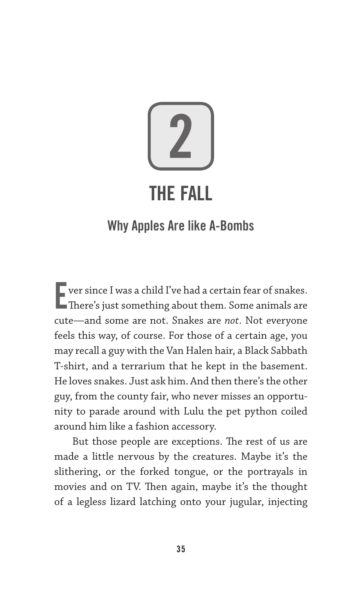

# THE FALL

# Why Apples Are like A-Bombs

**EVER I WAS A child I've had a certain fear of snakes.**<br>There's just something about them. Some animals are cute—and some are not. Snakes are *not*. Not everyone feels this way, of course. For those of a certain age, you may recall a guy with the Van Halen hair, a Black Sabbath T-shirt, and a terrarium that he kept in the basement. He loves snakes. Just ask him. And then there's the other guy, from the county fair, who never misses an opportunity to parade around with Lulu the pet python coiled around him like a fashion accessory.

But those people are exceptions. The rest of us are made a little nervous by the creatures. Maybe it's the slithering, or the forked tongue, or the portrayals in movies and on TV. Then again, maybe it's the thought of a legless lizard latching onto your jugular, injecting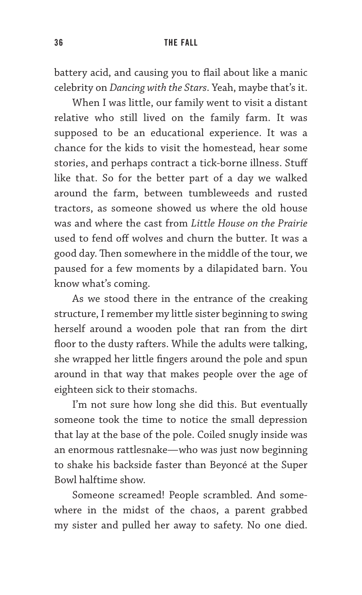battery acid, and causing you to fail about like a manic celebrity on *Dancing with the Stars*. Yeah, maybe that's it.

When I was little, our family went to visit a distant relative who still lived on the family farm. It was supposed to be an educational experience. It was a chance for the kids to visit the homestead, hear some stories, and perhaps contract a tick-borne illness. Stuf like that. So for the better part of a day we walked around the farm, between tumbleweeds and rusted tractors, as someone showed us where the old house was and where the cast from *Little House on the Prairie* used to fend off wolves and churn the butter. It was a good day. Then somewhere in the middle of the tour, we paused for a few moments by a dilapidated barn. You know what's coming.

As we stood there in the entrance of the creaking structure, I remember my little sister beginning to swing herself around a wooden pole that ran from the dirt foor to the dusty rafters. While the adults were talking, she wrapped her little fngers around the pole and spun around in that way that makes people over the age of eighteen sick to their stomachs.

I'm not sure how long she did this. But eventually someone took the time to notice the small depression that lay at the base of the pole. Coiled snugly inside was an enormous rattlesnake—who was just now beginning to shake his backside faster than Beyoncé at the Super Bowl halftime show.

Someone screamed! People scrambled. And somewhere in the midst of the chaos, a parent grabbed my sister and pulled her away to safety. No one died.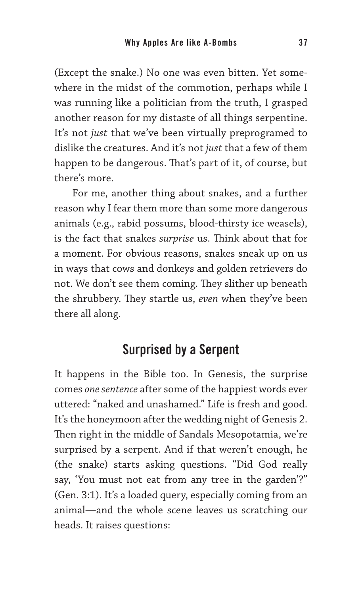(Except the snake.) No one was even bitten. Yet somewhere in the midst of the commotion, perhaps while I was running like a politician from the truth, I grasped another reason for my distaste of all things serpentine. It's not *just* that we've been virtually preprogramed to dislike the creatures. And it's not *just* that a few of them happen to be dangerous. That's part of it, of course, but there's more.

For me, another thing about snakes, and a further reason why I fear them more than some more dangerous animals (e.g., rabid possums, blood-thirsty ice weasels), is the fact that snakes *surprise* us. Think about that for a moment. For obvious reasons, snakes sneak up on us in ways that cows and donkeys and golden retrievers do not. We don't see them coming. They slither up beneath the shrubbery. They startle us, *even* when they've been there all along.

### Surprised by a Serpent

It happens in the Bible too. In Genesis, the surprise comes *one sentence* after some of the happiest words ever uttered: "naked and unashamed." Life is fresh and good. It's the honeymoon after the wedding night of Genesis 2. Then right in the middle of Sandals Mesopotamia, we're surprised by a serpent. And if that weren't enough, he (the snake) starts asking questions. "Did God really say, 'You must not eat from any tree in the garden'?" (Gen. 3:1). It's a loaded query, especially coming from an animal—and the whole scene leaves us scratching our heads. It raises questions: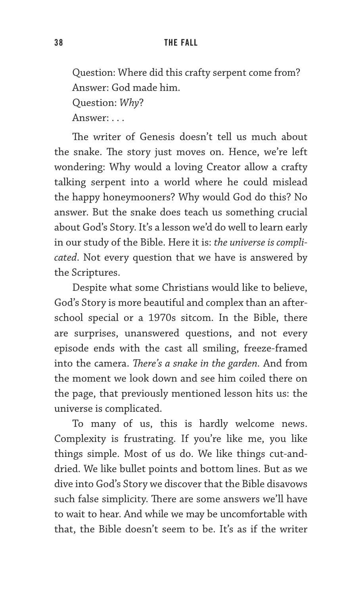Question: Where did this crafty serpent come from? Answer: God made him. Question: *Why*? Answer: . . .

The writer of Genesis doesn't tell us much about the snake. The story just moves on. Hence, we're left wondering: Why would a loving Creator allow a crafty talking serpent into a world where he could mislead the happy honeymooners? Why would God do this? No answer. But the snake does teach us something crucial about God's Story. It's a lesson we'd do well to learn early in our study of the Bible. Here it is: *the universe is complicated*. Not every question that we have is answered by the Scriptures.

Despite what some Christians would like to believe, God's Story is more beautiful and complex than an afterschool special or a 1970s sitcom. In the Bible, there are surprises, unanswered questions, and not every episode ends with the cast all smiling, freeze-framed into the camera. *Tere's a snake in the garden.* And from the moment we look down and see him coiled there on the page, that previously mentioned lesson hits us: the universe is complicated.

To many of us, this is hardly welcome news. Complexity is frustrating. If you're like me, you like things simple. Most of us do. We like things cut-anddried. We like bullet points and bottom lines. But as we dive into God's Story we discover that the Bible disavows such false simplicity. There are some answers we'll have to wait to hear. And while we may be uncomfortable with that, the Bible doesn't seem to be. It's as if the writer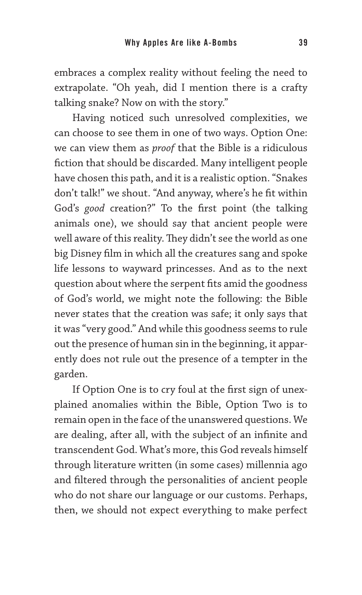embraces a complex reality without feeling the need to extrapolate. "Oh yeah, did I mention there is a crafty talking snake? Now on with the story."

Having noticed such unresolved complexities, we can choose to see them in one of two ways. Option One: we can view them as *proof* that the Bible is a ridiculous fction that should be discarded. Many intelligent people have chosen this path, and it is a realistic option. "Snakes don't talk!" we shout. "And anyway, where's he ft within God's *good* creation?" To the frst point (the talking animals one), we should say that ancient people were well aware of this reality. They didn't see the world as one big Disney flm in which all the creatures sang and spoke life lessons to wayward princesses. And as to the next question about where the serpent fts amid the goodness of God's world, we might note the following: the Bible never states that the creation was safe; it only says that it was "very good." And while this goodness seems to rule out the presence of human sin in the beginning, it apparently does not rule out the presence of a tempter in the garden.

If Option One is to cry foul at the frst sign of unexplained anomalies within the Bible, Option Two is to remain open in the face of the unanswered questions. We are dealing, after all, with the subject of an infnite and transcendent God. What's more, this God reveals himself through literature written (in some cases) millennia ago and fltered through the personalities of ancient people who do not share our language or our customs. Perhaps, then, we should not expect everything to make perfect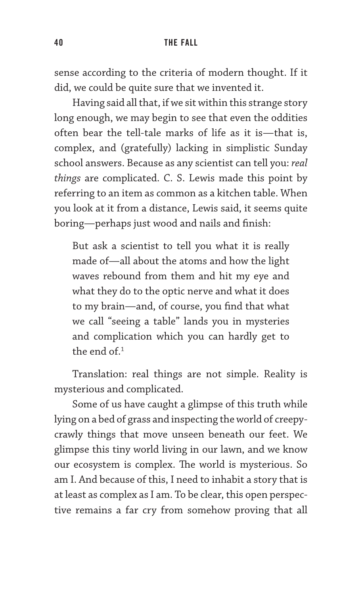sense according to the criteria of modern thought. If it did, we could be quite sure that we invented it.

Having said all that, if we sit within this strange story long enough, we may begin to see that even the oddities often bear the tell-tale marks of life as it is—that is, complex, and (gratefully) lacking in simplistic Sunday school answers. Because as any scientist can tell you: *real things* are complicated. C. S. Lewis made this point by referring to an item as common as a kitchen table. When you look at it from a distance, Lewis said, it seems quite boring—perhaps just wood and nails and fnish:

But ask a scientist to tell you what it is really made of—all about the atoms and how the light waves rebound from them and hit my eye and what they do to the optic nerve and what it does to my brain—and, of course, you fnd that what we call "seeing a table" lands you in mysteries and complication which you can hardly get to the end of. $1$ 

Translation: real things are not simple. Reality is mysterious and complicated.

Some of us have caught a glimpse of this truth while lying on a bed of grass and inspecting the world of creepycrawly things that move unseen beneath our feet. We glimpse this tiny world living in our lawn, and we know our ecosystem is complex. The world is mysterious. So am I. And because of this, I need to inhabit a story that is at least as complex as I am. To be clear, this open perspective remains a far cry from somehow proving that all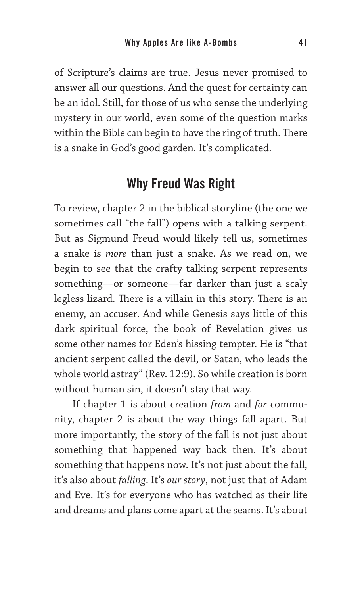of Scripture's claims are true. Jesus never promised to answer all our questions. And the quest for certainty can be an idol. Still, for those of us who sense the underlying mystery in our world, even some of the question marks within the Bible can begin to have the ring of truth. There is a snake in God's good garden. It's complicated.

### Why Freud Was Right

To review, chapter 2 in the biblical storyline (the one we sometimes call "the fall") opens with a talking serpent. But as Sigmund Freud would likely tell us, sometimes a snake is *more* than just a snake. As we read on, we begin to see that the crafty talking serpent represents something—or someone—far darker than just a scaly legless lizard. There is a villain in this story. There is an enemy, an accuser. And while Genesis says little of this dark spiritual force, the book of Revelation gives us some other names for Eden's hissing tempter. He is "that ancient serpent called the devil, or Satan, who leads the whole world astray" (Rev. 12:9). So while creation is born without human sin, it doesn't stay that way.

If chapter 1 is about creation *from* and *for* community, chapter 2 is about the way things fall apart. But more importantly, the story of the fall is not just about something that happened way back then. It's about something that happens now. It's not just about the fall, it's also about *falling*. It's *our story*, not just that of Adam and Eve. It's for everyone who has watched as their life and dreams and plans come apart at the seams. It's about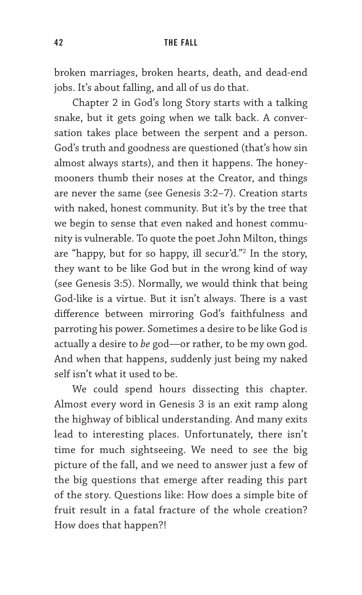broken marriages, broken hearts, death, and dead-end jobs. It's about falling, and all of us do that.

Chapter 2 in God's long Story starts with a talking snake, but it gets going when we talk back. A conversation takes place between the serpent and a person. God's truth and goodness are questioned (that's how sin almost always starts), and then it happens. The honeymooners thumb their noses at the Creator, and things are never the same (see Genesis 3:2–7). Creation starts with naked, honest community. But it's by the tree that we begin to sense that even naked and honest community is vulnerable. To quote the poet John Milton, things are "happy, but for so happy, ill secur'd."2 In the story, they want to be like God but in the wrong kind of way (see Genesis 3:5). Normally, we would think that being God-like is a virtue. But it isn't always. There is a vast diference between mirroring God's faithfulness and parroting his power. Sometimes a desire to be like God is actually a desire to *be* god—or rather, to be my own god. And when that happens, suddenly just being my naked self isn't what it used to be.

We could spend hours dissecting this chapter. Almost every word in Genesis 3 is an exit ramp along the highway of biblical understanding. And many exits lead to interesting places. Unfortunately, there isn't time for much sightseeing. We need to see the big picture of the fall, and we need to answer just a few of the big questions that emerge after reading this part of the story. Questions like: How does a simple bite of fruit result in a fatal fracture of the whole creation? How does that happen?!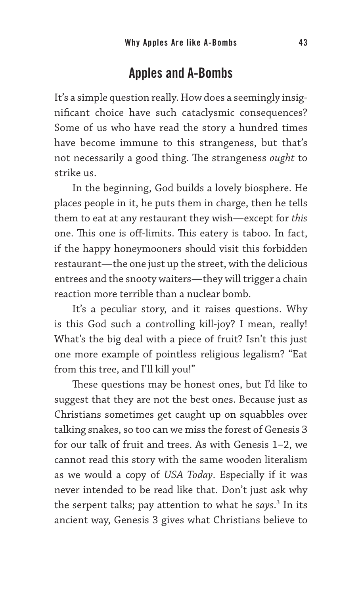#### Apples and A-Bombs

It's a simple question really. How does a seemingly insignifcant choice have such cataclysmic consequences? Some of us who have read the story a hundred times have become immune to this strangeness, but that's not necessarily a good thing. The strangeness *ought* to strike us.

In the beginning, God builds a lovely biosphere. He places people in it, he puts them in charge, then he tells them to eat at any restaurant they wish—except for *this*  one. This one is off-limits. This eatery is taboo. In fact, if the happy honeymooners should visit this forbidden restaurant—the one just up the street, with the delicious entrees and the snooty waiters—they will trigger a chain reaction more terrible than a nuclear bomb.

It's a peculiar story, and it raises questions. Why is this God such a controlling kill-joy? I mean, really! What's the big deal with a piece of fruit? Isn't this just one more example of pointless religious legalism? "Eat from this tree, and I'll kill you!"

These questions may be honest ones, but I'd like to suggest that they are not the best ones. Because just as Christians sometimes get caught up on squabbles over talking snakes, so too can we miss the forest of Genesis 3 for our talk of fruit and trees. As with Genesis 1–2, we cannot read this story with the same wooden literalism as we would a copy of *USA Today*. Especially if it was never intended to be read like that. Don't just ask why the serpent talks; pay attention to what he *says*. 3 In its ancient way, Genesis 3 gives what Christians believe to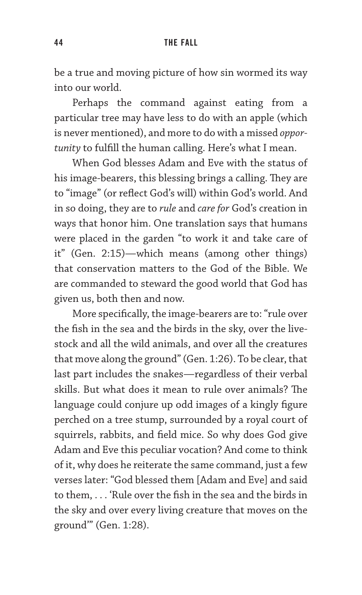be a true and moving picture of how sin wormed its way into our world.

Perhaps the command against eating from a particular tree may have less to do with an apple (which is never mentioned), and more to do with a missed *opportunity* to fulfll the human calling. Here's what I mean.

When God blesses Adam and Eve with the status of his image-bearers, this blessing brings a calling. They are to "image" (or refect God's will) within God's world. And in so doing, they are to *rule* and *care for* God's creation in ways that honor him. One translation says that humans were placed in the garden "to work it and take care of it" (Gen. 2:15)—which means (among other things) that conservation matters to the God of the Bible. We are commanded to steward the good world that God has given us, both then and now.

More specifcally, the image-bearers are to: "rule over the fsh in the sea and the birds in the sky, over the livestock and all the wild animals, and over all the creatures that move along the ground" (Gen. 1:26). To be clear, that last part includes the snakes—regardless of their verbal skills. But what does it mean to rule over animals? The language could conjure up odd images of a kingly fgure perched on a tree stump, surrounded by a royal court of squirrels, rabbits, and feld mice. So why does God give Adam and Eve this peculiar vocation? And come to think of it, why does he reiterate the same command, just a few verses later: "God blessed them [Adam and Eve] and said to them, . . . 'Rule over the fsh in the sea and the birds in the sky and over every living creature that moves on the ground'" (Gen. 1:28).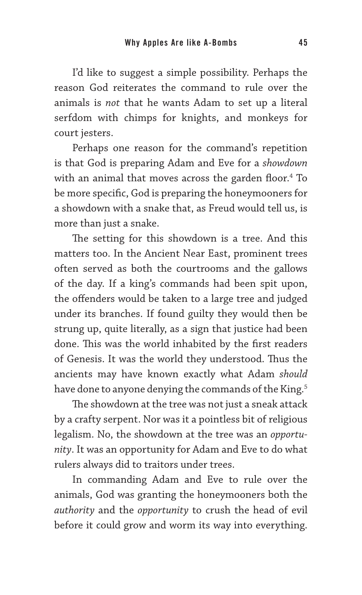I'd like to suggest a simple possibility. Perhaps the reason God reiterates the command to rule over the animals is *not* that he wants Adam to set up a literal serfdom with chimps for knights, and monkeys for court jesters.

Perhaps one reason for the command's repetition is that God is preparing Adam and Eve for a *showdown* with an animal that moves across the garden floor.<sup>4</sup> To be more specifc, God is preparing the honeymooners for a showdown with a snake that, as Freud would tell us, is more than just a snake.

The setting for this showdown is a tree. And this matters too. In the Ancient Near East, prominent trees often served as both the courtrooms and the gallows of the day. If a king's commands had been spit upon, the offenders would be taken to a large tree and judged under its branches. If found guilty they would then be strung up, quite literally, as a sign that justice had been done. This was the world inhabited by the first readers of Genesis. It was the world they understood. Thus the ancients may have known exactly what Adam *should* have done to anyone denying the commands of the King.<sup>5</sup>

The showdown at the tree was not just a sneak attack by a crafty serpent. Nor was it a pointless bit of religious legalism. No, the showdown at the tree was an *opportunity*. It was an opportunity for Adam and Eve to do what rulers always did to traitors under trees.

In commanding Adam and Eve to rule over the animals, God was granting the honeymooners both the *authority* and the *opportunity* to crush the head of evil before it could grow and worm its way into everything.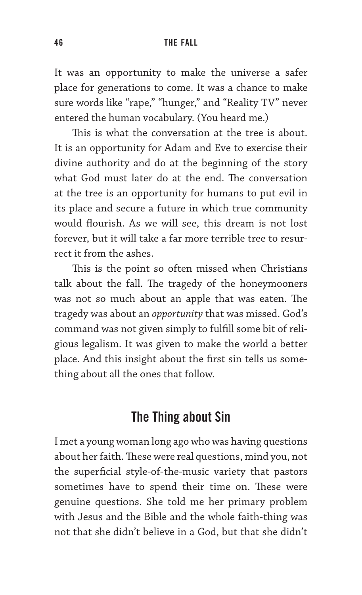#### 46 THE FALL

It was an opportunity to make the universe a safer place for generations to come. It was a chance to make sure words like "rape," "hunger," and "Reality TV" never entered the human vocabulary. (You heard me.)

This is what the conversation at the tree is about. It is an opportunity for Adam and Eve to exercise their divine authority and do at the beginning of the story what God must later do at the end. The conversation at the tree is an opportunity for humans to put evil in its place and secure a future in which true community would fourish. As we will see, this dream is not lost forever, but it will take a far more terrible tree to resurrect it from the ashes.

This is the point so often missed when Christians talk about the fall. The tragedy of the honeymooners was not so much about an apple that was eaten. The tragedy was about an *opportunity* that was missed. God's command was not given simply to fulfll some bit of religious legalism. It was given to make the world a better place. And this insight about the frst sin tells us something about all the ones that follow.

#### The Thing about Sin

I met a young woman long ago who was having questions about her faith. These were real questions, mind you, not the superfcial style-of-the-music variety that pastors sometimes have to spend their time on. These were genuine questions. She told me her primary problem with Jesus and the Bible and the whole faith-thing was not that she didn't believe in a God, but that she didn't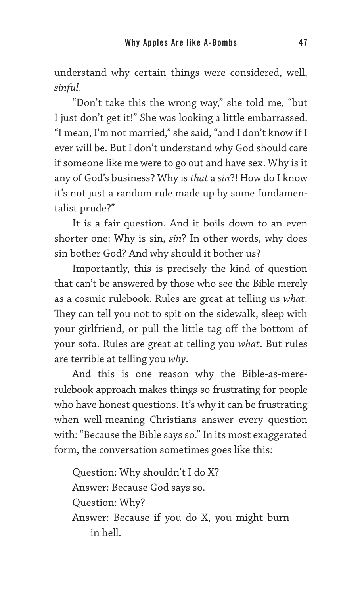understand why certain things were considered, well, *sinful*.

"Don't take this the wrong way," she told me, "but I just don't get it!" She was looking a little embarrassed. "I mean, I'm not married," she said, "and I don't know if I ever will be. But I don't understand why God should care if someone like me were to go out and have sex. Why is it any of God's business? Why is *that* a *sin*?! How do I know it's not just a random rule made up by some fundamentalist prude?"

It is a fair question. And it boils down to an even shorter one: Why is sin, *sin*? In other words, why does sin bother God? And why should it bother us?

Importantly, this is precisely the kind of question that can't be answered by those who see the Bible merely as a cosmic rulebook. Rules are great at telling us *what*. They can tell you not to spit on the sidewalk, sleep with your girlfriend, or pull the little tag off the bottom of your sofa. Rules are great at telling you *what*. But rules are terrible at telling you *why*.

And this is one reason why the Bible-as-mererulebook approach makes things so frustrating for people who have honest questions. It's why it can be frustrating when well-meaning Christians answer every question with: "Because the Bible says so." In its most exaggerated form, the conversation sometimes goes like this:

Question: Why shouldn't I do X? Answer: Because God says so. Question: Why? Answer: Because if you do X, you might burn in hell.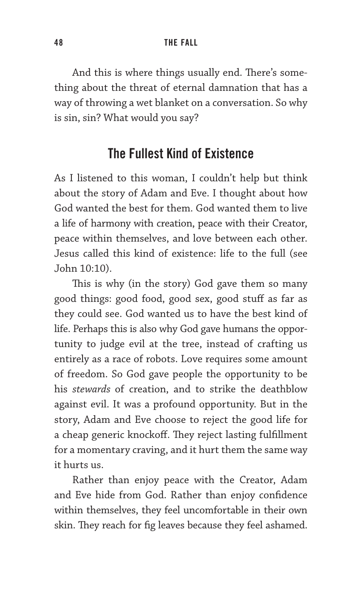And this is where things usually end. There's something about the threat of eternal damnation that has a way of throwing a wet blanket on a conversation. So why is sin, sin? What would you say?

### The Fullest Kind of Existence

As I listened to this woman, I couldn't help but think about the story of Adam and Eve. I thought about how God wanted the best for them. God wanted them to live a life of harmony with creation, peace with their Creator, peace within themselves, and love between each other. Jesus called this kind of existence: life to the full (see John 10:10).

This is why (in the story) God gave them so many good things: good food, good sex, good stuf as far as they could see. God wanted us to have the best kind of life. Perhaps this is also why God gave humans the opportunity to judge evil at the tree, instead of crafting us entirely as a race of robots. Love requires some amount of freedom. So God gave people the opportunity to be his *stewards* of creation, and to strike the deathblow against evil. It was a profound opportunity. But in the story, Adam and Eve choose to reject the good life for a cheap generic knockoff. They reject lasting fulfillment for a momentary craving, and it hurt them the same way it hurts us.

Rather than enjoy peace with the Creator, Adam and Eve hide from God. Rather than enjoy confdence within themselves, they feel uncomfortable in their own skin. They reach for fig leaves because they feel ashamed.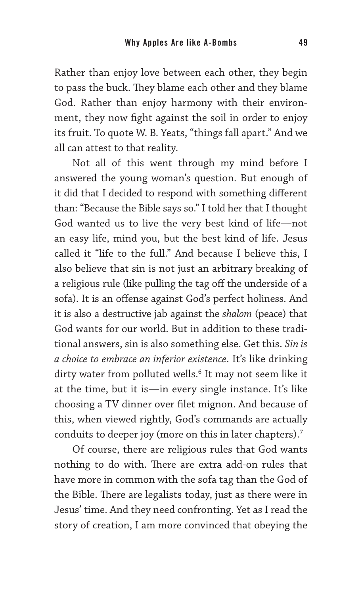Rather than enjoy love between each other, they begin to pass the buck. They blame each other and they blame God. Rather than enjoy harmony with their environment, they now fght against the soil in order to enjoy its fruit. To quote W. B. Yeats, "things fall apart." And we all can attest to that reality.

Not all of this went through my mind before I answered the young woman's question. But enough of it did that I decided to respond with something diferent than: "Because the Bible says so." I told her that I thought God wanted us to live the very best kind of life—not an easy life, mind you, but the best kind of life. Jesus called it "life to the full." And because I believe this, I also believe that sin is not just an arbitrary breaking of a religious rule (like pulling the tag off the underside of a sofa). It is an offense against God's perfect holiness. And it is also a destructive jab against the *shalom* (peace) that God wants for our world. But in addition to these traditional answers, sin is also something else. Get this. *Sin is a choice to embrace an inferior existence*. It's like drinking dirty water from polluted wells.6 It may not seem like it at the time, but it is—in every single instance. It's like choosing a TV dinner over flet mignon. And because of this, when viewed rightly, God's commands are actually conduits to deeper joy (more on this in later chapters).7

Of course, there are religious rules that God wants nothing to do with. There are extra add-on rules that have more in common with the sofa tag than the God of the Bible. There are legalists today, just as there were in Jesus' time. And they need confronting. Yet as I read the story of creation, I am more convinced that obeying the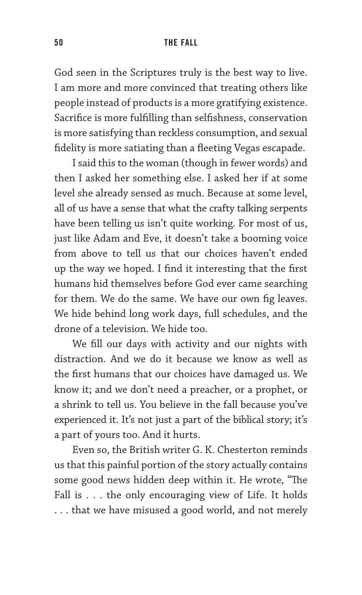#### 50 THE FALL

God seen in the Scriptures truly is the best way to live. I am more and more convinced that treating others like people instead of products is a more gratifying existence. Sacrifce is more fulflling than selfshness, conservation is more satisfying than reckless consumption, and sexual fdelity is more satiating than a feeting Vegas escapade.

I said this to the woman (though in fewer words) and then I asked her something else. I asked her if at some level she already sensed as much. Because at some level, all of us have a sense that what the crafty talking serpents have been telling us isn't quite working. For most of us, just like Adam and Eve, it doesn't take a booming voice from above to tell us that our choices haven't ended up the way we hoped. I fnd it interesting that the frst humans hid themselves before God ever came searching for them. We do the same. We have our own fg leaves. We hide behind long work days, full schedules, and the drone of a television. We hide too.

We fll our days with activity and our nights with distraction. And we do it because we know as well as the frst humans that our choices have damaged us. We know it; and we don't need a preacher, or a prophet, or a shrink to tell us. You believe in the fall because you've experienced it. It's not just a part of the biblical story; it's a part of yours too. And it hurts.

Even so, the British writer G. K. Chesterton reminds us that this painful portion of the story actually contains some good news hidden deep within it. He wrote, "The Fall is . . . the only encouraging view of Life. It holds . . . that we have misused a good world, and not merely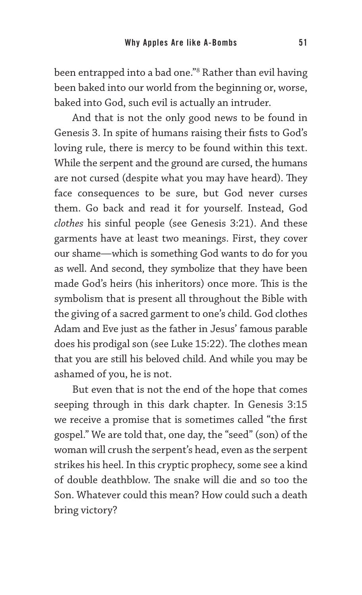been entrapped into a bad one."8 Rather than evil having been baked into our world from the beginning or, worse, baked into God, such evil is actually an intruder.

And that is not the only good news to be found in Genesis 3. In spite of humans raising their fsts to God's loving rule, there is mercy to be found within this text. While the serpent and the ground are cursed, the humans are not cursed (despite what you may have heard). They face consequences to be sure, but God never curses them. Go back and read it for yourself. Instead, God *clothes* his sinful people (see Genesis 3:21). And these garments have at least two meanings. First, they cover our shame—which is something God wants to do for you as well. And second, they symbolize that they have been made God's heirs (his inheritors) once more. This is the symbolism that is present all throughout the Bible with the giving of a sacred garment to one's child. God clothes Adam and Eve just as the father in Jesus' famous parable does his prodigal son (see Luke 15:22). The clothes mean that you are still his beloved child. And while you may be ashamed of you, he is not.

But even that is not the end of the hope that comes seeping through in this dark chapter. In Genesis 3:15 we receive a promise that is sometimes called "the frst gospel." We are told that, one day, the "seed" (son) of the woman will crush the serpent's head, even as the serpent strikes his heel. In this cryptic prophecy, some see a kind of double deathblow. The snake will die and so too the Son. Whatever could this mean? How could such a death bring victory?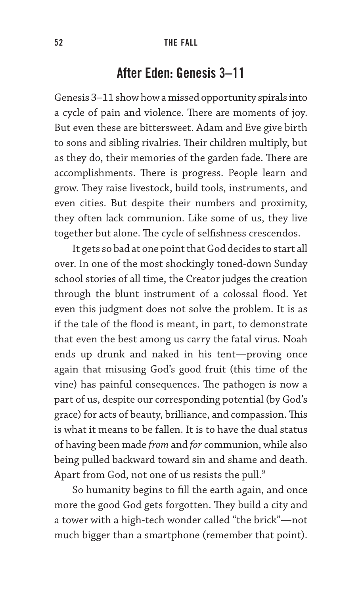### After Eden: Genesis 3–11

Genesis 3–11 show how a missed opportunity spirals into a cycle of pain and violence. There are moments of joy. But even these are bittersweet. Adam and Eve give birth to sons and sibling rivalries. Their children multiply, but as they do, their memories of the garden fade. There are accomplishments. There is progress. People learn and grow. They raise livestock, build tools, instruments, and even cities. But despite their numbers and proximity, they often lack communion. Like some of us, they live together but alone. The cycle of selfishness crescendos.

It gets so bad at one point that God decides to start all over. In one of the most shockingly toned-down Sunday school stories of all time, the Creator judges the creation through the blunt instrument of a colossal flood. Yet even this judgment does not solve the problem. It is as if the tale of the food is meant, in part, to demonstrate that even the best among us carry the fatal virus. Noah ends up drunk and naked in his tent—proving once again that misusing God's good fruit (this time of the vine) has painful consequences. The pathogen is now a part of us, despite our corresponding potential (by God's grace) for acts of beauty, brilliance, and compassion. This is what it means to be fallen. It is to have the dual status of having been made *from* and *for* communion, while also being pulled backward toward sin and shame and death. Apart from God, not one of us resists the pull.<sup>9</sup>

So humanity begins to fll the earth again, and once more the good God gets forgotten. They build a city and a tower with a high-tech wonder called "the brick"—not much bigger than a smartphone (remember that point).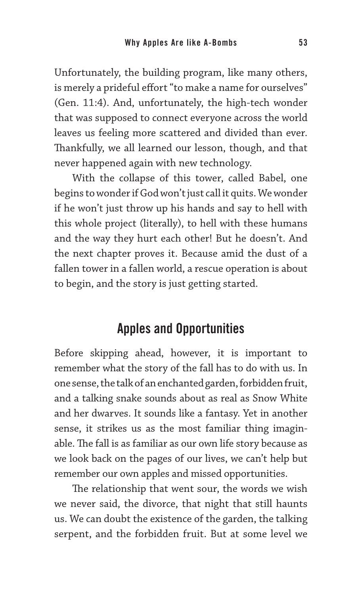Unfortunately, the building program, like many others, is merely a prideful effort "to make a name for ourselves" (Gen. 11:4). And, unfortunately, the high-tech wonder that was supposed to connect everyone across the world leaves us feeling more scattered and divided than ever. Tankfully, we all learned our lesson, though, and that never happened again with new technology.

With the collapse of this tower, called Babel, one begins to wonder if God won't just call it quits. We wonder if he won't just throw up his hands and say to hell with this whole project (literally), to hell with these humans and the way they hurt each other! But he doesn't. And the next chapter proves it. Because amid the dust of a fallen tower in a fallen world, a rescue operation is about to begin, and the story is just getting started.

#### Apples and Opportunities

Before skipping ahead, however, it is important to remember what the story of the fall has to do with us. In one sense, the talk of an enchanted garden, forbidden fruit, and a talking snake sounds about as real as Snow White and her dwarves. It sounds like a fantasy. Yet in another sense, it strikes us as the most familiar thing imaginable. The fall is as familiar as our own life story because as we look back on the pages of our lives, we can't help but remember our own apples and missed opportunities.

The relationship that went sour, the words we wish we never said, the divorce, that night that still haunts us. We can doubt the existence of the garden, the talking serpent, and the forbidden fruit. But at some level we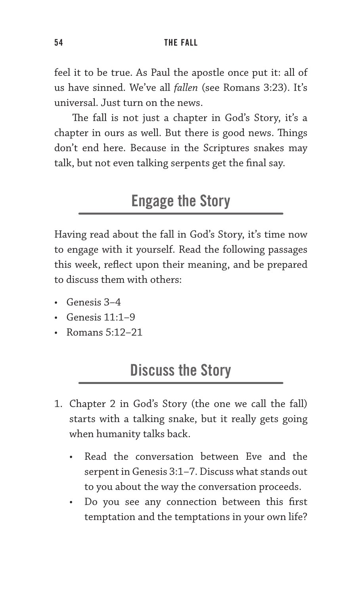feel it to be true. As Paul the apostle once put it: all of us have sinned. We've all *fallen* (see Romans 3:23). It's universal. Just turn on the news.

The fall is not just a chapter in God's Story, it's a chapter in ours as well. But there is good news. Things don't end here. Because in the Scriptures snakes may talk, but not even talking serpents get the fnal say.

# Engage the Story

Having read about the fall in God's Story, it's time now to engage with it yourself. Read the following passages this week, refect upon their meaning, and be prepared to discuss them with others:

- Genesis 3–4
- Genesis 11:1–9
- Romans 5:12–21

# Discuss the Story

- 1. Chapter 2 in God's Story (the one we call the fall) starts with a talking snake, but it really gets going when humanity talks back.
	- Read the conversation between Eve and the serpent in Genesis 3:1–7. Discuss what stands out to you about the way the conversation proceeds.
	- Do you see any connection between this frst temptation and the temptations in your own life?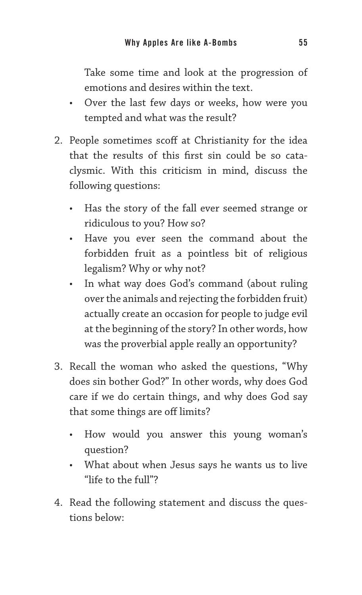Take some time and look at the progression of emotions and desires within the text.

- Over the last few days or weeks, how were you tempted and what was the result?
- 2. People sometimes scoff at Christianity for the idea that the results of this frst sin could be so cataclysmic. With this criticism in mind, discuss the following questions:
	- Has the story of the fall ever seemed strange or ridiculous to you? How so?
	- Have you ever seen the command about the forbidden fruit as a pointless bit of religious legalism? Why or why not?
	- In what way does God's command (about ruling over the animals and rejecting the forbidden fruit) actually create an occasion for people to judge evil at the beginning of the story? In other words, how was the proverbial apple really an opportunity?
- 3. Recall the woman who asked the questions, "Why does sin bother God?" In other words, why does God care if we do certain things, and why does God say that some things are off limits?
	- How would you answer this young woman's question?
	- What about when Jesus says he wants us to live "life to the full"?
- 4. Read the following statement and discuss the questions below: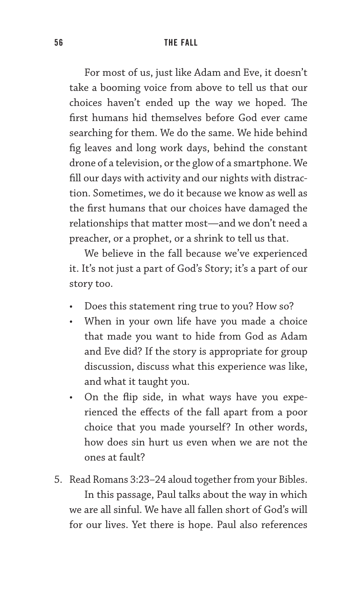#### 56 THE FALL

For most of us, just like Adam and Eve, it doesn't take a booming voice from above to tell us that our choices haven't ended up the way we hoped. The frst humans hid themselves before God ever came searching for them. We do the same. We hide behind fg leaves and long work days, behind the constant drone of a television, or the glow of a smartphone. We fll our days with activity and our nights with distraction. Sometimes, we do it because we know as well as the frst humans that our choices have damaged the relationships that matter most—and we don't need a preacher, or a prophet, or a shrink to tell us that.

We believe in the fall because we've experienced it. It's not just a part of God's Story; it's a part of our story too.

- Does this statement ring true to you? How so?
- When in your own life have you made a choice that made you want to hide from God as Adam and Eve did? If the story is appropriate for group discussion, discuss what this experience was like, and what it taught you.
- On the fip side, in what ways have you experienced the efects of the fall apart from a poor choice that you made yourself? In other words, how does sin hurt us even when we are not the ones at fault?
- 5. Read Romans 3:23–24 aloud together from your Bibles. In this passage, Paul talks about the way in which we are all sinful. We have all fallen short of God's will for our lives. Yet there is hope. Paul also references